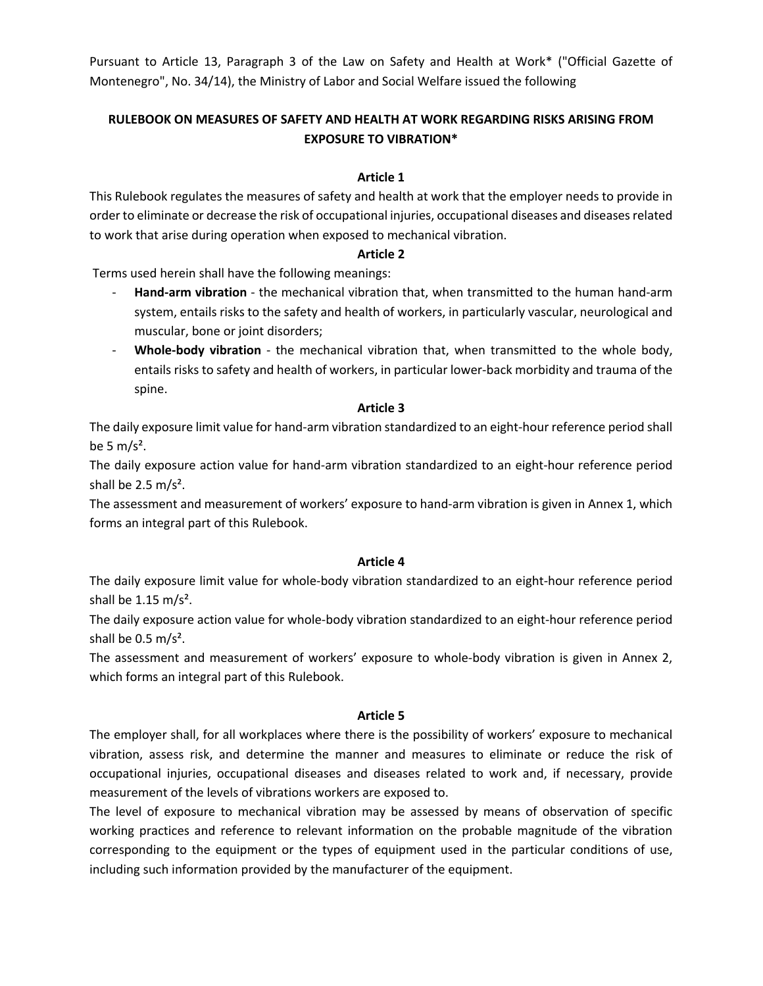Pursuant to Article 13, Paragraph 3 of the Law on Safety and Health at Work\* ("Official Gazette of Montenegro", No. 34/14), the Ministry of Labor and Social Welfare issued the following

# **RULEBOOK ON MEASURES OF SAFETY AND HEALTH AT WORK REGARDING RISKS ARISING FROM EXPOSURE TO VIBRATION\***

## **Article 1**

This Rulebook regulates the measures of safety and health at work that the employer needs to provide in order to eliminate or decrease the risk of occupational injuries, occupational diseases and diseases related to work that arise during operation when exposed to mechanical vibration.

### **Article 2**

Terms used herein shall have the following meanings:

- **Hand-arm vibration** the mechanical vibration that, when transmitted to the human hand-arm system, entails risks to the safety and health of workers, in particularly vascular, neurological and muscular, bone or joint disorders;
- **Whole-body vibration** the mechanical vibration that, when transmitted to the whole body, entails risks to safety and health of workers, in particular lower-back morbidity and trauma of the spine.

### **Article 3**

The daily exposure limit value for hand-arm vibration standardized to an eight-hour reference period shall be 5  $m/s<sup>2</sup>$ .

The daily exposure action value for hand-arm vibration standardized to an eight-hour reference period shall be  $2.5 \text{ m/s}^2$ .

The assessment and measurement of workers' exposure to hand-arm vibration is given in Annex 1, which forms an integral part of this Rulebook.

#### **Article 4**

The daily exposure limit value for whole-body vibration standardized to an eight-hour reference period shall be 1.15 m/s<sup>2</sup>.

The daily exposure action value for whole-body vibration standardized to an eight-hour reference period shall be  $0.5 \text{ m/s}^2$ .

The assessment and measurement of workers' exposure to whole-body vibration is given in Annex 2, which forms an integral part of this Rulebook.

#### **Article 5**

The employer shall, for all workplaces where there is the possibility of workers' exposure to mechanical vibration, assess risk, and determine the manner and measures to eliminate or reduce the risk of occupational injuries, occupational diseases and diseases related to work and, if necessary, provide measurement of the levels of vibrations workers are exposed to.

The level of exposure to mechanical vibration may be assessed by means of observation of specific working practices and reference to relevant information on the probable magnitude of the vibration corresponding to the equipment or the types of equipment used in the particular conditions of use, including such information provided by the manufacturer of the equipment.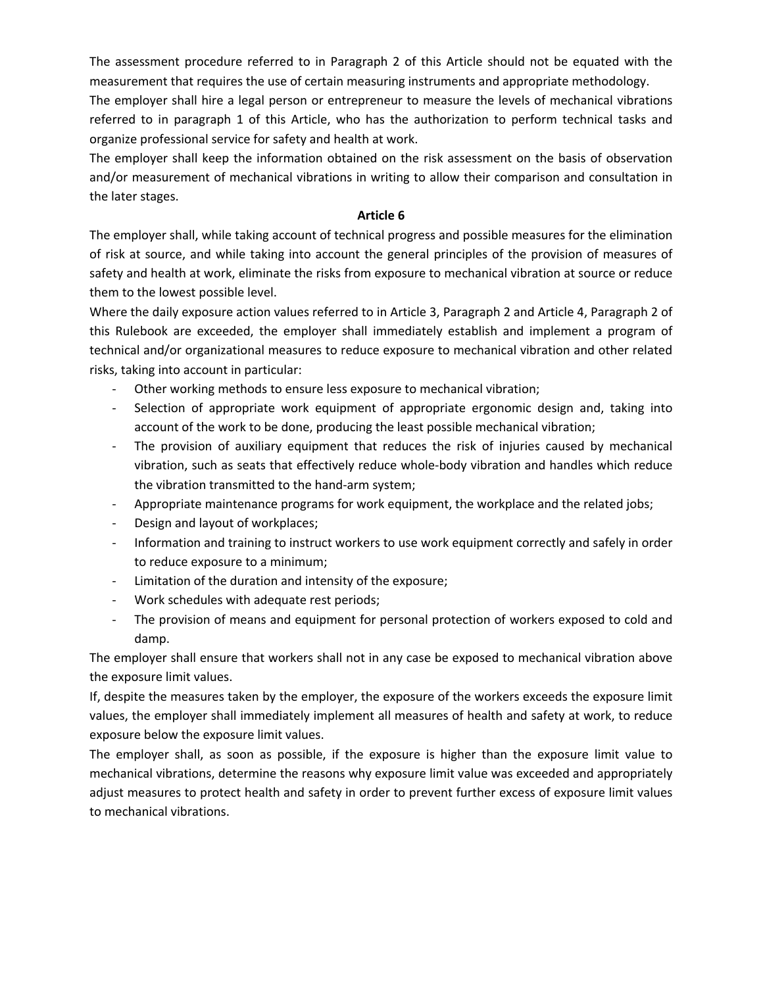The assessment procedure referred to in Paragraph 2 of this Article should not be equated with the measurement that requires the use of certain measuring instruments and appropriate methodology.

The employer shall hire a legal person or entrepreneur to measure the levels of mechanical vibrations referred to in paragraph 1 of this Article, who has the authorization to perform technical tasks and organize professional service for safety and health at work.

The employer shall keep the information obtained on the risk assessment on the basis of observation and/or measurement of mechanical vibrations in writing to allow their comparison and consultation in the later stages.

#### **Article 6**

The employer shall, while taking account of technical progress and possible measures for the elimination of risk at source, and while taking into account the general principles of the provision of measures of safety and health at work, eliminate the risks from exposure to mechanical vibration at source or reduce them to the lowest possible level.

Where the daily exposure action values referred to in Article 3, Paragraph 2 and Article 4, Paragraph 2 of this Rulebook are exceeded, the employer shall immediately establish and implement a program of technical and/or organizational measures to reduce exposure to mechanical vibration and other related risks, taking into account in particular:

- Other working methods to ensure less exposure to mechanical vibration;
- Selection of appropriate work equipment of appropriate ergonomic design and, taking into account of the work to be done, producing the least possible mechanical vibration;
- The provision of auxiliary equipment that reduces the risk of injuries caused by mechanical vibration, such as seats that effectively reduce whole-body vibration and handles which reduce the vibration transmitted to the hand-arm system;
- Appropriate maintenance programs for work equipment, the workplace and the related jobs;
- Design and layout of workplaces;
- Information and training to instruct workers to use work equipment correctly and safely in order to reduce exposure to a minimum;
- Limitation of the duration and intensity of the exposure;
- Work schedules with adequate rest periods;
- The provision of means and equipment for personal protection of workers exposed to cold and damp.

The employer shall ensure that workers shall not in any case be exposed to mechanical vibration above the exposure limit values.

If, despite the measures taken by the employer, the exposure of the workers exceeds the exposure limit values, the employer shall immediately implement all measures of health and safety at work, to reduce exposure below the exposure limit values.

The employer shall, as soon as possible, if the exposure is higher than the exposure limit value to mechanical vibrations, determine the reasons why exposure limit value was exceeded and appropriately adjust measures to protect health and safety in order to prevent further excess of exposure limit values to mechanical vibrations.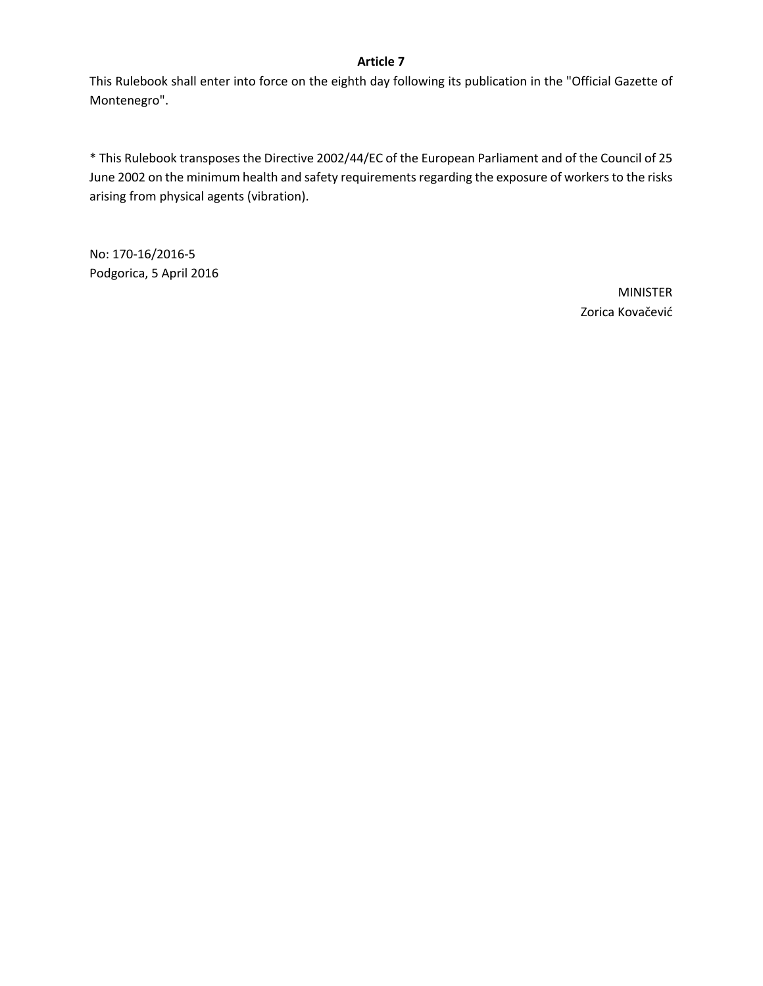## **Article 7**

This Rulebook shall enter into force on the eighth day following its publication in the "Official Gazette of Montenegro".

\* This Rulebook transposes the Directive 2002/44/EC of the European Parliament and of the Council of 25 June 2002 on the minimum health and safety requirements regarding the exposure of workers to the risks arising from physical agents (vibration).

No: 170-16/2016-5 Podgorica, 5 April 2016

> MINISTER Zorica Kovačević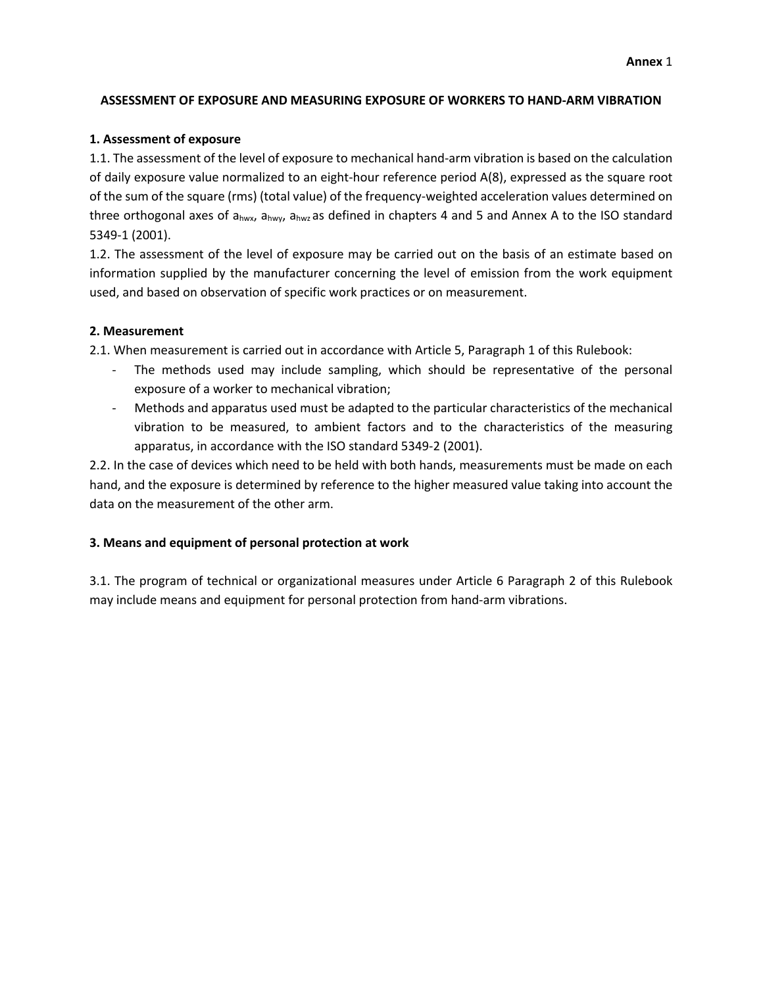## **ASSESSMENT OF EXPOSURE AND MEASURING EXPOSURE OF WORKERS TO HAND-ARM VIBRATION**

## **1. Assessment of exposure**

1.1. The assessment of the level of exposure to mechanical hand-arm vibration is based on the calculation of daily exposure value normalized to an eight-hour reference period A(8), expressed as the square root of the sum of the square (rms) (total value) of the frequency-weighted acceleration values determined on three orthogonal axes of a<sub>hwx</sub>, a<sub>hwy</sub>, a<sub>hwz</sub> as defined in chapters 4 and 5 and Annex A to the ISO standard 5349-1 (2001).

1.2. The assessment of the level of exposure may be carried out on the basis of an estimate based on information supplied by the manufacturer concerning the level of emission from the work equipment used, and based on observation of specific work practices or on measurement.

### **2. Measurement**

2.1. When measurement is carried out in accordance with Article 5, Paragraph 1 of this Rulebook:

- The methods used may include sampling, which should be representative of the personal exposure of a worker to mechanical vibration;
- Methods and apparatus used must be adapted to the particular characteristics of the mechanical vibration to be measured, to ambient factors and to the characteristics of the measuring apparatus, in accordance with the ISO standard 5349-2 (2001).

2.2. In the case of devices which need to be held with both hands, measurements must be made on each hand, and the exposure is determined by reference to the higher measured value taking into account the data on the measurement of the other arm.

## **3. Means and equipment of personal protection at work**

3.1. The program of technical or organizational measures under Article 6 Paragraph 2 of this Rulebook may include means and equipment for personal protection from hand-arm vibrations.